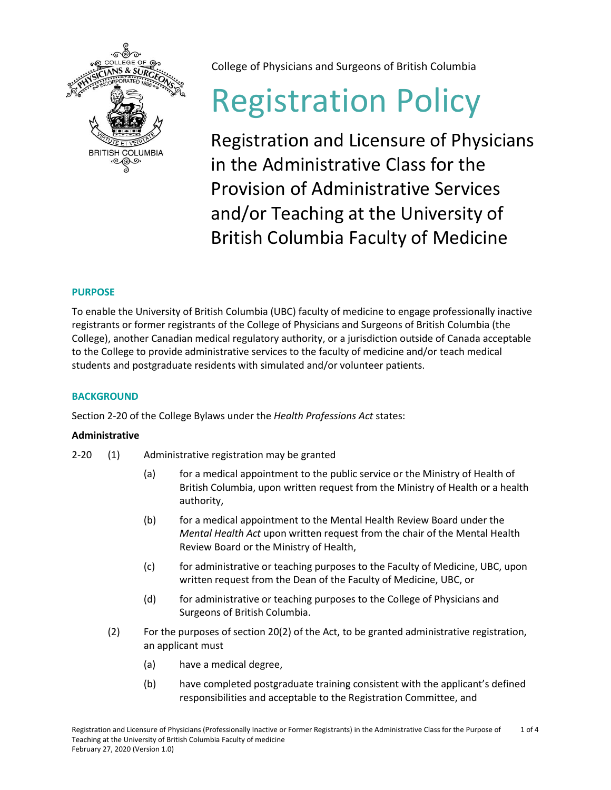

College of Physicians and Surgeons of British Columbia

# Registration Policy

Registration and Licensure of Physicians in the Administrative Class for the Provision of Administrative Services and/or Teaching at the University of British Columbia Faculty of Medicine

# **PURPOSE**

To enable the University of British Columbia (UBC) faculty of medicine to engage professionally inactive registrants or former registrants of the College of Physicians and Surgeons of British Columbia (the College), another Canadian medical regulatory authority, or a jurisdiction outside of Canada acceptable to the College to provide administrative services to the faculty of medicine and/or teach medical students and postgraduate residents with simulated and/or volunteer patients.

# **BACKGROUND**

Section 2-20 of the College Bylaws under the *Health Professions Act* states:

## **Administrative**

- 2-20 (1) Administrative registration may be granted
	- (a) for a medical appointment to the public service or the Ministry of Health of British Columbia, upon written request from the Ministry of Health or a health authority,
	- (b) for a medical appointment to the Mental Health Review Board under the *Mental Health Act* upon written request from the chair of the Mental Health Review Board or the Ministry of Health,
	- (c) for administrative or teaching purposes to the Faculty of Medicine, UBC, upon written request from the Dean of the Faculty of Medicine, UBC, or
	- (d) for administrative or teaching purposes to the College of Physicians and Surgeons of British Columbia.
	- (2) For the purposes of section 20(2) of the Act, to be granted administrative registration, an applicant must
		- (a) have a medical degree,
		- (b) have completed postgraduate training consistent with the applicant's defined responsibilities and acceptable to the Registration Committee, and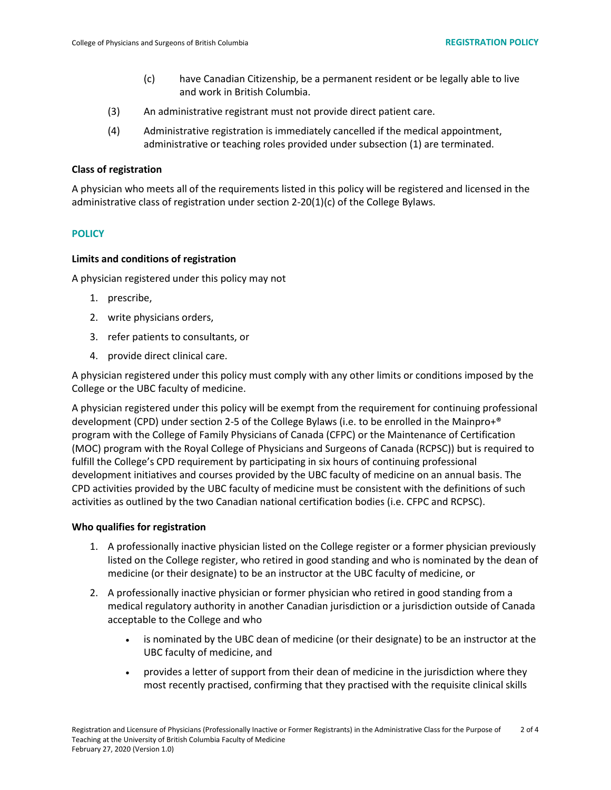- (c) have Canadian Citizenship, be a permanent resident or be legally able to live and work in British Columbia.
- (3) An administrative registrant must not provide direct patient care.
- (4) Administrative registration is immediately cancelled if the medical appointment, administrative or teaching roles provided under subsection (1) are terminated.

#### **Class of registration**

A physician who meets all of the requirements listed in this policy will be registered and licensed in the administrative class of registration under section 2-20(1)(c) of the College Bylaws.

#### **POLICY**

#### **Limits and conditions of registration**

A physician registered under this policy may not

- 1. prescribe,
- 2. write physicians orders,
- 3. refer patients to consultants, or
- 4. provide direct clinical care.

A physician registered under this policy must comply with any other limits or conditions imposed by the College or the UBC faculty of medicine.

A physician registered under this policy will be exempt from the requirement for continuing professional development (CPD) under section 2-5 of the College Bylaws (i.e. to be enrolled in the Mainpro+® program with the College of Family Physicians of Canada (CFPC) or the Maintenance of Certification (MOC) program with the Royal College of Physicians and Surgeons of Canada (RCPSC)) but is required to fulfill the College's CPD requirement by participating in six hours of continuing professional development initiatives and courses provided by the UBC faculty of medicine on an annual basis. The CPD activities provided by the UBC faculty of medicine must be consistent with the definitions of such activities as outlined by the two Canadian national certification bodies (i.e. CFPC and RCPSC).

#### **Who qualifies for registration**

- 1. A professionally inactive physician listed on the College register or a former physician previously listed on the College register, who retired in good standing and who is nominated by the dean of medicine (or their designate) to be an instructor at the UBC faculty of medicine, or
- 2. A professionally inactive physician or former physician who retired in good standing from a medical regulatory authority in another Canadian jurisdiction or a jurisdiction outside of Canada acceptable to the College and who
	- is nominated by the UBC dean of medicine (or their designate) to be an instructor at the UBC faculty of medicine, and
	- provides a letter of support from their dean of medicine in the jurisdiction where they most recently practised, confirming that they practised with the requisite clinical skills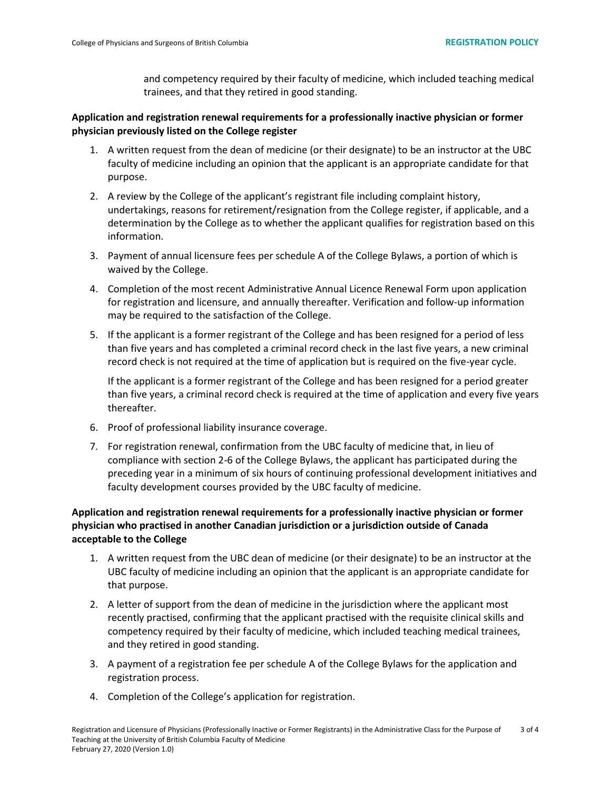and competency required by their faculty of medicine, which included teaching medical trainees, and that they retired in good standing.

## **Application and registration renewal requirements for a professionally inactive physician or former physician previously listed on the College register**

- 1. A written request from the dean of medicine (or their designate) to be an instructor at the UBC faculty of medicine including an opinion that the applicant is an appropriate candidate for that purpose.
- 2. A review by the College of the applicant's registrant file including complaint history, undertakings, reasons for retirement/resignation from the College register, if applicable, and a determination by the College as to whether the applicant qualifies for registration based on this information.
- 3. Payment of annual licensure fees per schedule A of the College Bylaws, a portion of which is waived by the College.
- 4. Completion of the most recent Administrative Annual Licence Renewal Form upon application for registration and licensure, and annually thereafter. Verification and follow-up information may be required to the satisfaction of the College.
- 5. If the applicant is a former registrant of the College and has been resigned for a period of less than five years and has completed a criminal record check in the last five years, a new criminal record check is not required at the time of application but is required on the five-year cycle.

If the applicant is a former registrant of the College and has been resigned for a period greater than five years, a criminal record check is required at the time of application and every five years thereafter.

- 6. Proof of professional liability insurance coverage.
- 7. For registration renewal, confirmation from the UBC faculty of medicine that, in lieu of compliance with section 2-6 of the College Bylaws, the applicant has participated during the preceding year in a minimum of six hours of continuing professional development initiatives and faculty development courses provided by the UBC faculty of medicine.

# **Application and registration renewal requirements for a professionally inactive physician or former physician who practised in another Canadian jurisdiction or a jurisdiction outside of Canada acceptable to the College**

- 1. A written request from the UBC dean of medicine (or their designate) to be an instructor at the UBC faculty of medicine including an opinion that the applicant is an appropriate candidate for that purpose.
- 2. A letter of support from the dean of medicine in the jurisdiction where the applicant most recently practised, confirming that the applicant practised with the requisite clinical skills and competency required by their faculty of medicine, which included teaching medical trainees, and they retired in good standing.
- 3. A payment of a registration fee per schedule A of the College Bylaws for the application and registration process.
- 4. Completion of the College's application for registration.